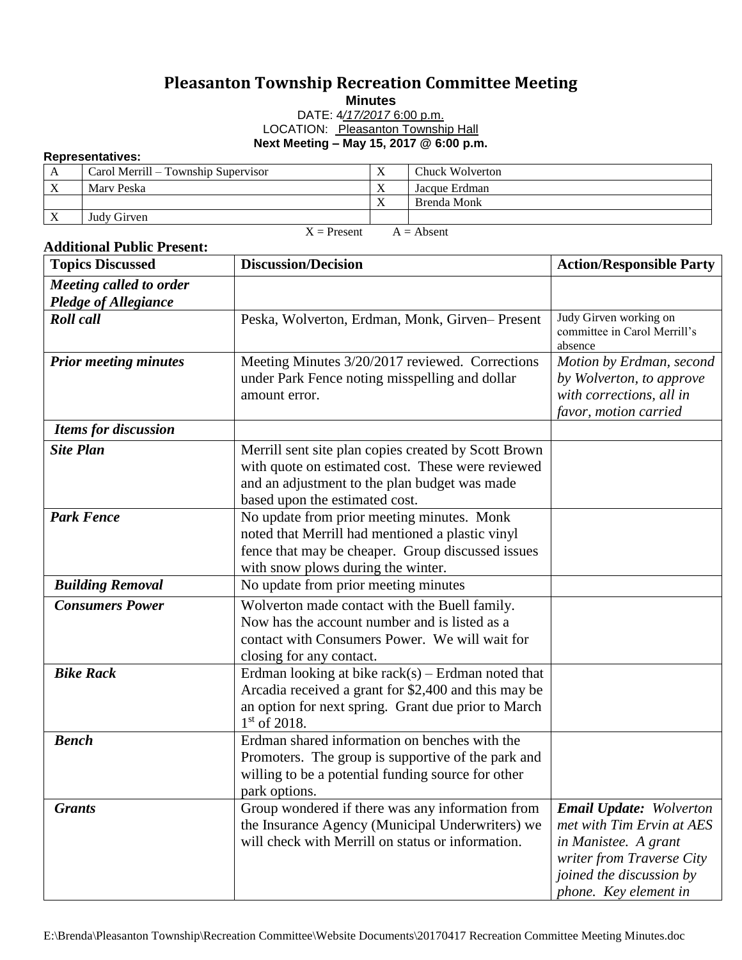## **Pleasanton Township Recreation Committee Meeting**

**Minutes**

DATE: 4*/17/2017* 6:00 p.m. LOCATION: Pleasanton Township Hall **Next Meeting – May 15, 2017 @ 6:00 p.m.**

## **Representatives:**

| .                             |                                     |              |                 |  |  |
|-------------------------------|-------------------------------------|--------------|-----------------|--|--|
| A                             | Carol Merrill – Township Supervisor | $\mathbf{v}$ | Chuck Wolverton |  |  |
| X                             | Mary Peska                          |              | Jacque Erdman   |  |  |
|                               |                                     | $\mathbf{v}$ | Brenda Monk     |  |  |
| X                             | Judy Girven                         |              |                 |  |  |
| $A =$ Absent<br>$X =$ Present |                                     |              |                 |  |  |

## **Additional Public Present:**

| <b>Topics Discussed</b>                                       | <b>Discussion/Decision</b>                                                                                                                                                                   | <b>Action/Responsible Party</b>                                                                                                                                       |
|---------------------------------------------------------------|----------------------------------------------------------------------------------------------------------------------------------------------------------------------------------------------|-----------------------------------------------------------------------------------------------------------------------------------------------------------------------|
| <b>Meeting called to order</b><br><b>Pledge of Allegiance</b> |                                                                                                                                                                                              |                                                                                                                                                                       |
| <b>Roll</b> call                                              | Peska, Wolverton, Erdman, Monk, Girven-Present                                                                                                                                               | Judy Girven working on<br>committee in Carol Merrill's<br>absence                                                                                                     |
| <b>Prior meeting minutes</b>                                  | Meeting Minutes 3/20/2017 reviewed. Corrections<br>under Park Fence noting misspelling and dollar<br>amount error.                                                                           | Motion by Erdman, second<br>by Wolverton, to approve<br>with corrections, all in<br>favor, motion carried                                                             |
| <b>Items for discussion</b>                                   |                                                                                                                                                                                              |                                                                                                                                                                       |
| <b>Site Plan</b>                                              | Merrill sent site plan copies created by Scott Brown<br>with quote on estimated cost. These were reviewed<br>and an adjustment to the plan budget was made<br>based upon the estimated cost. |                                                                                                                                                                       |
| <b>Park Fence</b>                                             | No update from prior meeting minutes. Monk<br>noted that Merrill had mentioned a plastic vinyl<br>fence that may be cheaper. Group discussed issues<br>with snow plows during the winter.    |                                                                                                                                                                       |
| <b>Building Removal</b>                                       | No update from prior meeting minutes                                                                                                                                                         |                                                                                                                                                                       |
| <b>Consumers Power</b>                                        | Wolverton made contact with the Buell family.<br>Now has the account number and is listed as a<br>contact with Consumers Power. We will wait for<br>closing for any contact.                 |                                                                                                                                                                       |
| <b>Bike Rack</b>                                              | Erdman looking at bike $rack(s)$ – Erdman noted that<br>Arcadia received a grant for \$2,400 and this may be<br>an option for next spring. Grant due prior to March<br>$1st$ of 2018.        |                                                                                                                                                                       |
| <b>Bench</b>                                                  | Erdman shared information on benches with the<br>Promoters. The group is supportive of the park and<br>willing to be a potential funding source for other<br>park options.                   |                                                                                                                                                                       |
| <b>Grants</b>                                                 | Group wondered if there was any information from<br>the Insurance Agency (Municipal Underwriters) we<br>will check with Merrill on status or information.                                    | <b>Email Update:</b> Wolverton<br>met with Tim Ervin at AES<br>in Manistee. A grant<br>writer from Traverse City<br>joined the discussion by<br>phone. Key element in |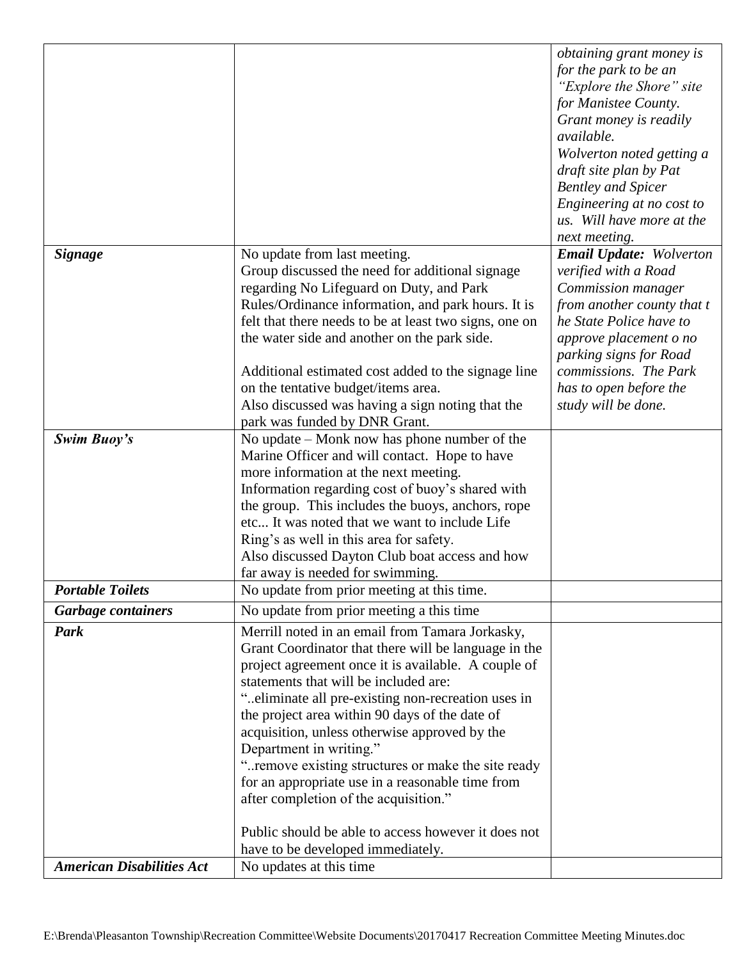|                                  |                                                        | obtaining grant money is       |
|----------------------------------|--------------------------------------------------------|--------------------------------|
|                                  |                                                        | for the park to be an          |
|                                  |                                                        | "Explore the Shore" site       |
|                                  |                                                        | for Manistee County.           |
|                                  |                                                        | Grant money is readily         |
|                                  |                                                        | available.                     |
|                                  |                                                        | Wolverton noted getting a      |
|                                  |                                                        | draft site plan by Pat         |
|                                  |                                                        | <b>Bentley and Spicer</b>      |
|                                  |                                                        | Engineering at no cost to      |
|                                  |                                                        | us. Will have more at the      |
|                                  |                                                        | next meeting.                  |
| <b>Signage</b>                   | No update from last meeting.                           | <b>Email Update: Wolverton</b> |
|                                  | Group discussed the need for additional signage        | verified with a Road           |
|                                  | regarding No Lifeguard on Duty, and Park               | Commission manager             |
|                                  | Rules/Ordinance information, and park hours. It is     | from another county that t     |
|                                  | felt that there needs to be at least two signs, one on | he State Police have to        |
|                                  | the water side and another on the park side.           | approve placement o no         |
|                                  |                                                        | parking signs for Road         |
|                                  | Additional estimated cost added to the signage line    | commissions. The Park          |
|                                  | on the tentative budget/items area.                    | has to open before the         |
|                                  | Also discussed was having a sign noting that the       | study will be done.            |
|                                  | park was funded by DNR Grant.                          |                                |
| Swim Buoy's                      | No update $-$ Monk now has phone number of the         |                                |
|                                  | Marine Officer and will contact. Hope to have          |                                |
|                                  | more information at the next meeting.                  |                                |
|                                  | Information regarding cost of buoy's shared with       |                                |
|                                  | the group. This includes the buoys, anchors, rope      |                                |
|                                  | etc It was noted that we want to include Life          |                                |
|                                  | Ring's as well in this area for safety.                |                                |
|                                  | Also discussed Dayton Club boat access and how         |                                |
|                                  | far away is needed for swimming.                       |                                |
| <b>Portable Toilets</b>          | No update from prior meeting at this time.             |                                |
| <b>Garbage containers</b>        | No update from prior meeting a this time               |                                |
| Park                             | Merrill noted in an email from Tamara Jorkasky,        |                                |
|                                  | Grant Coordinator that there will be language in the   |                                |
|                                  | project agreement once it is available. A couple of    |                                |
|                                  | statements that will be included are:                  |                                |
|                                  | "eliminate all pre-existing non-recreation uses in     |                                |
|                                  | the project area within 90 days of the date of         |                                |
|                                  | acquisition, unless otherwise approved by the          |                                |
|                                  | Department in writing."                                |                                |
|                                  | " remove existing structures or make the site ready    |                                |
|                                  | for an appropriate use in a reasonable time from       |                                |
|                                  | after completion of the acquisition."                  |                                |
|                                  | Public should be able to access however it does not    |                                |
|                                  | have to be developed immediately.                      |                                |
| <b>American Disabilities Act</b> | No updates at this time                                |                                |
|                                  |                                                        |                                |